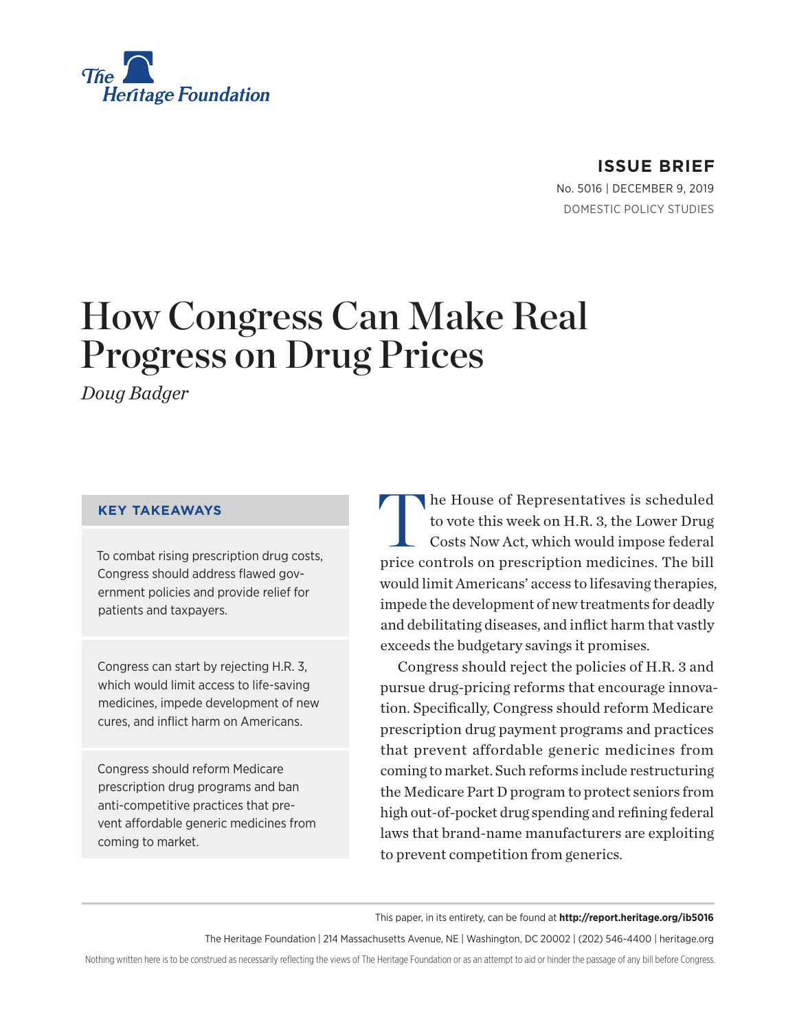

# **ISSUE BRIEF**

No. 5016 | December 9, 2019 DOMESTIC POLICY STUDIES

# How Congress Can Make Real Progress on Drug Prices

*Doug Badger*

#### **KEY TAKEAWAYS**

To combat rising prescription drug costs, Congress should address flawed government policies and provide relief for patients and taxpayers.

Congress can start by rejecting H.R. 3, which would limit access to life-saving medicines, impede development of new cures, and inflict harm on Americans.

Congress should reform Medicare prescription drug programs and ban anti-competitive practices that prevent affordable generic medicines from coming to market.

The House of Representatives is scheduled<br>to vote this week on H.R. 3, the Lower Drug<br>Costs Now Act, which would impose federal to vote this week on H.R. 3, the Lower Drug Costs Now Act, which would impose federal price controls on prescription medicines. The bill would limit Americans' access to lifesaving therapies, impede the development of new treatments for deadly and debilitating diseases, and inflict harm that vastly exceeds the budgetary savings it promises.

Congress should reject the policies of H.R. 3 and pursue drug-pricing reforms that encourage innovation. Specifically, Congress should reform Medicare prescription drug payment programs and practices that prevent affordable generic medicines from coming to market. Such reforms include restructuring the Medicare Part D program to protect seniors from high out-of-pocket drug spending and refining federal laws that brand-name manufacturers are exploiting to prevent competition from generics.

This paper, in its entirety, can be found at **http://report.heritage.org/ib5016**

The Heritage Foundation | 214 Massachusetts Avenue, NE | Washington, DC 20002 | (202) 546-4400 | heritage.org

Nothing written here is to be construed as necessarily reflecting the views of The Heritage Foundation or as an attempt to aid or hinder the passage of any bill before Congress.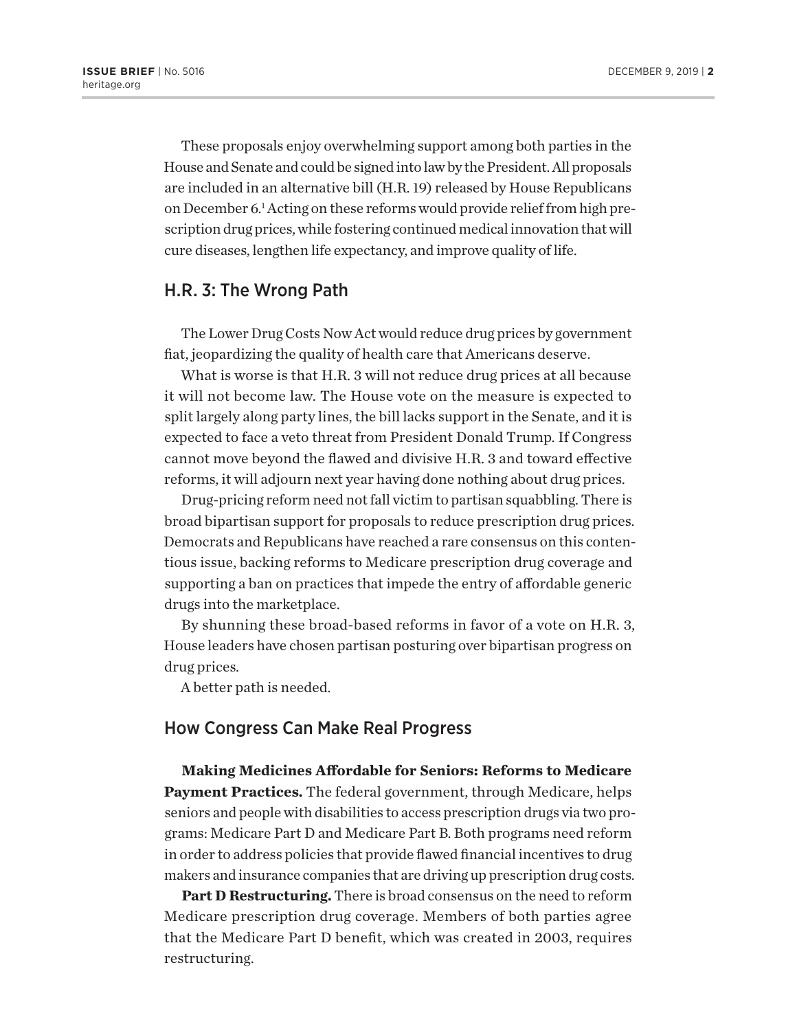These proposals enjoy overwhelming support among both parties in the House and Senate and could be signed into law by the President. All proposals are included in an alternative bill (H.R. 19) released by House Republicans on December 6.<sup>1</sup> Acting on these reforms would provide relief from high prescription drug prices, while fostering continued medical innovation that will cure diseases, lengthen life expectancy, and improve quality of life.

### H.R. 3: The Wrong Path

The Lower Drug Costs Now Act would reduce drug prices by government fiat, jeopardizing the quality of health care that Americans deserve.

What is worse is that H.R. 3 will not reduce drug prices at all because it will not become law. The House vote on the measure is expected to split largely along party lines, the bill lacks support in the Senate, and it is expected to face a veto threat from President Donald Trump. If Congress cannot move beyond the flawed and divisive H.R. 3 and toward effective reforms, it will adjourn next year having done nothing about drug prices.

Drug-pricing reform need not fall victim to partisan squabbling. There is broad bipartisan support for proposals to reduce prescription drug prices. Democrats and Republicans have reached a rare consensus on this contentious issue, backing reforms to Medicare prescription drug coverage and supporting a ban on practices that impede the entry of affordable generic drugs into the marketplace.

By shunning these broad-based reforms in favor of a vote on H.R. 3, House leaders have chosen partisan posturing over bipartisan progress on drug prices.

A better path is needed.

# How Congress Can Make Real Progress

**Making Medicines Affordable for Seniors: Reforms to Medicare Payment Practices.** The federal government, through Medicare, helps seniors and people with disabilities to access prescription drugs via two programs: Medicare Part D and Medicare Part B. Both programs need reform in order to address policies that provide flawed financial incentives to drug makers and insurance companies that are driving up prescription drug costs.

**Part D Restructuring.** There is broad consensus on the need to reform Medicare prescription drug coverage. Members of both parties agree that the Medicare Part D benefit, which was created in 2003, requires restructuring.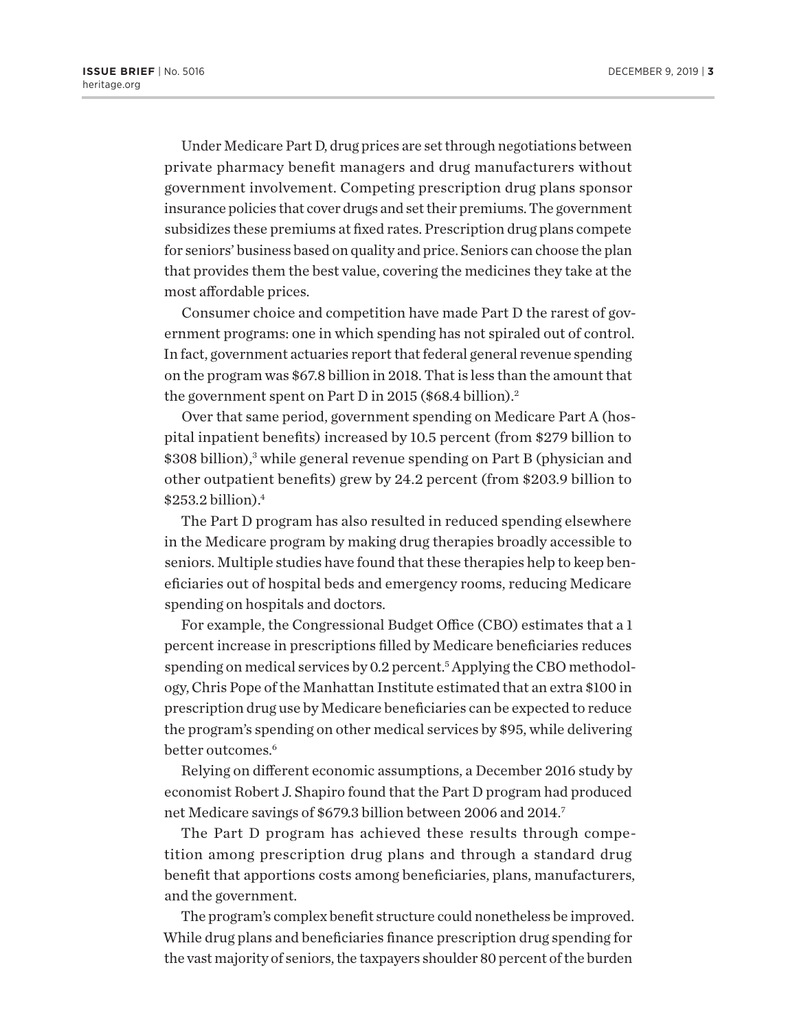Under Medicare Part D, drug prices are set through negotiations between private pharmacy benefit managers and drug manufacturers without government involvement. Competing prescription drug plans sponsor insurance policies that cover drugs and set their premiums. The government subsidizes these premiums at fixed rates. Prescription drug plans compete for seniors' business based on quality and price. Seniors can choose the plan that provides them the best value, covering the medicines they take at the most affordable prices.

Consumer choice and competition have made Part D the rarest of government programs: one in which spending has not spiraled out of control. In fact, government actuaries report that federal general revenue spending on the program was \$67.8 billion in 2018. That is less than the amount that the government spent on Part D in 2015 (\$68.4 billion).<sup>2</sup>

Over that same period, government spending on Medicare Part A (hospital inpatient benefits) increased by 10.5 percent (from \$279 billion to \$308 billion),3 while general revenue spending on Part B (physician and other outpatient benefits) grew by 24.2 percent (from \$203.9 billion to  $$253.2$  billion). $4$ 

The Part D program has also resulted in reduced spending elsewhere in the Medicare program by making drug therapies broadly accessible to seniors. Multiple studies have found that these therapies help to keep beneficiaries out of hospital beds and emergency rooms, reducing Medicare spending on hospitals and doctors.

For example, the Congressional Budget Office (CBO) estimates that a 1 percent increase in prescriptions filled by Medicare beneficiaries reduces spending on medical services by 0.2 percent.<sup>5</sup> Applying the CBO methodology, Chris Pope of the Manhattan Institute estimated that an extra \$100 in prescription drug use by Medicare beneficiaries can be expected to reduce the program's spending on other medical services by \$95, while delivering better outcomes.<sup>6</sup>

Relying on different economic assumptions, a December 2016 study by economist Robert J. Shapiro found that the Part D program had produced net Medicare savings of \$679.3 billion between 2006 and 2014.7

The Part D program has achieved these results through competition among prescription drug plans and through a standard drug benefit that apportions costs among beneficiaries, plans, manufacturers, and the government.

The program's complex benefit structure could nonetheless be improved. While drug plans and beneficiaries finance prescription drug spending for the vast majority of seniors, the taxpayers shoulder 80 percent of the burden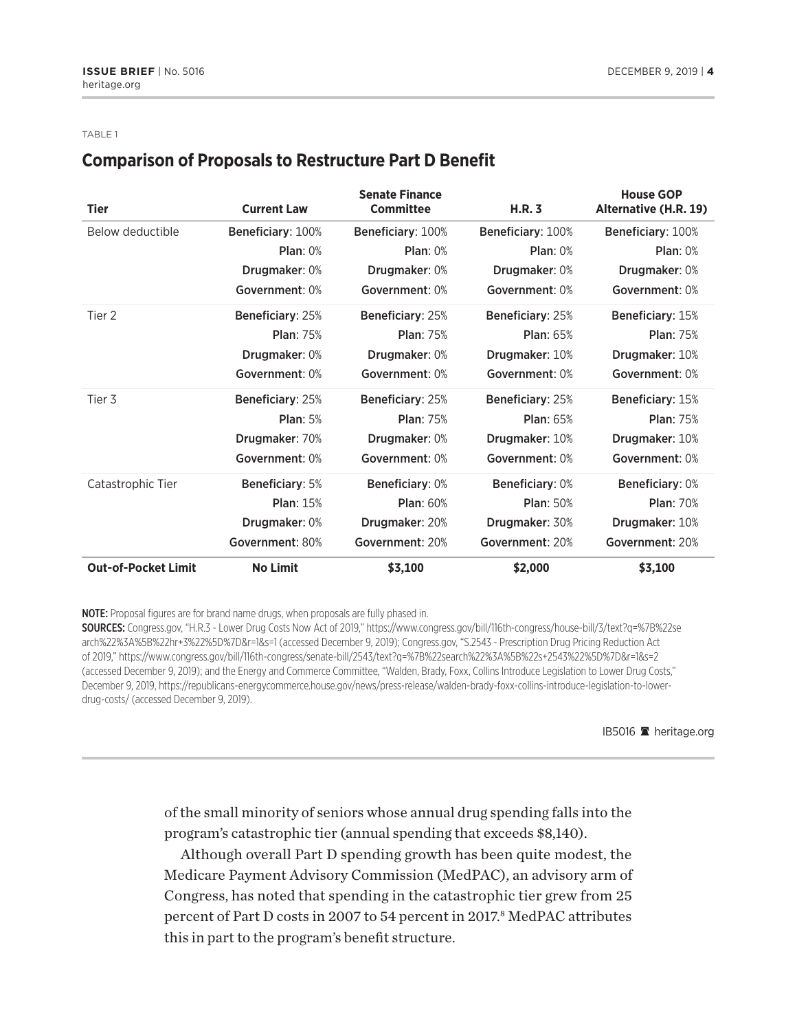#### TABLE 1

# **Comparison of Proposals to Restructure Part D Benefit**

| <b>Tier</b>                | <b>Current Law</b>     | <b>Senate Finance</b><br><b>Committee</b> | H.R.3                  | <b>House GOP</b><br>Alternative (H.R. 19) |
|----------------------------|------------------------|-------------------------------------------|------------------------|-------------------------------------------|
| Below deductible           | Beneficiary: 100%      | Beneficiary: 100%                         | Beneficiary: 100%      | Beneficiary: 100%                         |
|                            | Plan: 0%               | Plan: 0%                                  | Plan: 0%               | Plan: 0%                                  |
|                            | <b>Drugmaker: 0%</b>   | <b>Drugmaker: 0%</b>                      | <b>Drugmaker: 0%</b>   | Drugmaker: 0%                             |
|                            | Government: 0%         | Government: 0%                            | Government: 0%         | Government: 0%                            |
| Tier 2                     | Beneficiary: 25%       | Beneficiary: 25%                          | Beneficiary: 25%       | Beneficiary: 15%                          |
|                            | <b>Plan: 75%</b>       | <b>Plan: 75%</b>                          | <b>Plan: 65%</b>       | <b>Plan: 75%</b>                          |
|                            | Drugmaker: 0%          | Drugmaker: 0%                             | Drugmaker: 10%         | Drugmaker: 10%                            |
|                            | Government: 0%         | Government: 0%                            | Government: 0%         | Government: 0%                            |
| Tier 3                     | Beneficiary: 25%       | Beneficiary: 25%                          | Beneficiary: 25%       | Beneficiary: 15%                          |
|                            | <b>Plan: 5%</b>        | <b>Plan: 75%</b>                          | <b>Plan: 65%</b>       | <b>Plan: 75%</b>                          |
|                            | Drugmaker: 70%         | Drugmaker: 0%                             | Drugmaker: 10%         | Drugmaker: 10%                            |
|                            | Government: 0%         | Government: 0%                            | Government: 0%         | Government: 0%                            |
| Catastrophic Tier          | <b>Beneficiary: 5%</b> | <b>Beneficiary: 0%</b>                    | <b>Beneficiary: 0%</b> | Beneficiary: 0%                           |
|                            | <b>Plan: 15%</b>       | <b>Plan: 60%</b>                          | <b>Plan: 50%</b>       | <b>Plan: 70%</b>                          |
|                            | Drugmaker: 0%          | Drugmaker: 20%                            | Drugmaker: 30%         | Drugmaker: 10%                            |
|                            | Government: 80%        | Government: 20%                           | Government: 20%        | Government: 20%                           |
| <b>Out-of-Pocket Limit</b> | <b>No Limit</b>        | \$3,100                                   | \$2,000                | \$3,100                                   |

NOTE: Proposal figures are for brand name drugs, when proposals are fully phased in.

SOURCES: Congress.gov, "H.R.3 - Lower Drug Costs Now Act of 2019," https://www.congress.gov/bill/116th-congress/house-bill/3/text?q=%7B%22se arch%22%3A%5B%22hr+3%22%5D%7D&r=1&s=1 (accessed December 9, 2019); Congress.gov, "S.2543 - Prescription Drug Pricing Reduction Act of 2019," https://www.congress.gov/bill/116th-congress/senate-bill/2543/text?q=%7B%22search%22%3A%5B%22s+2543%22%5D%7D&r=1&s=2 (accessed December 9, 2019); and the Energy and Commerce Committee, "Walden, Brady, Foxx, Collins Introduce Legislation to Lower Drug Costs," December 9, 2019, https://republicans-energycommerce.house.gov/news/press-release/walden-brady-foxx-collins-introduce-legislation-to-lowerdrug-costs/ (accessed December 9, 2019).

IB5016 <sup>a</sup> heritage.org

of the small minority of seniors whose annual drug spending falls into the program's catastrophic tier (annual spending that exceeds \$8,140).

Although overall Part D spending growth has been quite modest, the Medicare Payment Advisory Commission (MedPAC), an advisory arm of Congress, has noted that spending in the catastrophic tier grew from 25 percent of Part D costs in 2007 to 54 percent in 2017.<sup>8</sup> MedPAC attributes this in part to the program's benefit structure.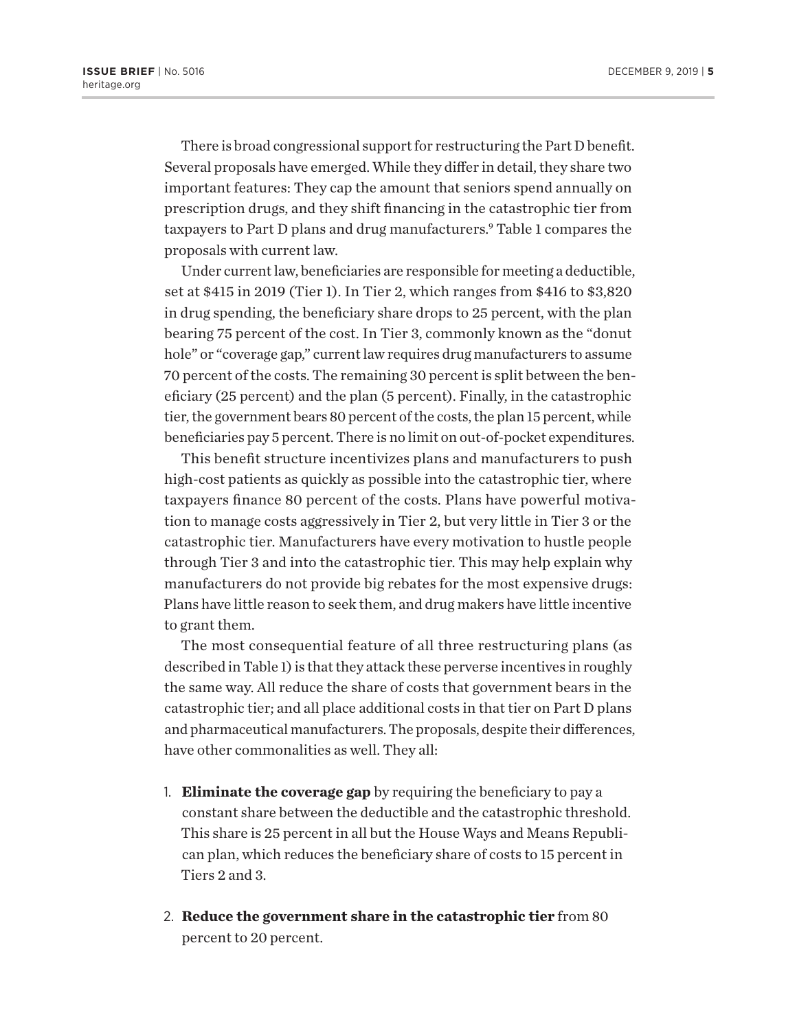There is broad congressional support for restructuring the Part D benefit. Several proposals have emerged. While they differ in detail, they share two important features: They cap the amount that seniors spend annually on prescription drugs, and they shift financing in the catastrophic tier from taxpayers to Part D plans and drug manufacturers.<sup>9</sup> Table 1 compares the proposals with current law.

Under current law, beneficiaries are responsible for meeting a deductible, set at \$415 in 2019 (Tier 1). In Tier 2, which ranges from \$416 to \$3,820 in drug spending, the beneficiary share drops to 25 percent, with the plan bearing 75 percent of the cost. In Tier 3, commonly known as the "donut hole" or "coverage gap," current law requires drug manufacturers to assume 70 percent of the costs. The remaining 30 percent is split between the beneficiary (25 percent) and the plan (5 percent). Finally, in the catastrophic tier, the government bears 80 percent of the costs, the plan 15 percent, while beneficiaries pay 5 percent. There is no limit on out-of-pocket expenditures.

This benefit structure incentivizes plans and manufacturers to push high-cost patients as quickly as possible into the catastrophic tier, where taxpayers finance 80 percent of the costs. Plans have powerful motivation to manage costs aggressively in Tier 2, but very little in Tier 3 or the catastrophic tier. Manufacturers have every motivation to hustle people through Tier 3 and into the catastrophic tier. This may help explain why manufacturers do not provide big rebates for the most expensive drugs: Plans have little reason to seek them, and drug makers have little incentive to grant them.

The most consequential feature of all three restructuring plans (as described in Table 1) is that they attack these perverse incentives in roughly the same way. All reduce the share of costs that government bears in the catastrophic tier; and all place additional costs in that tier on Part D plans and pharmaceutical manufacturers. The proposals, despite their differences, have other commonalities as well. They all:

- 1. **Eliminate the coverage gap** by requiring the beneficiary to pay a constant share between the deductible and the catastrophic threshold. This share is 25 percent in all but the House Ways and Means Republican plan, which reduces the beneficiary share of costs to 15 percent in Tiers 2 and 3.
- 2. **Reduce the government share in the catastrophic tier** from 80 percent to 20 percent.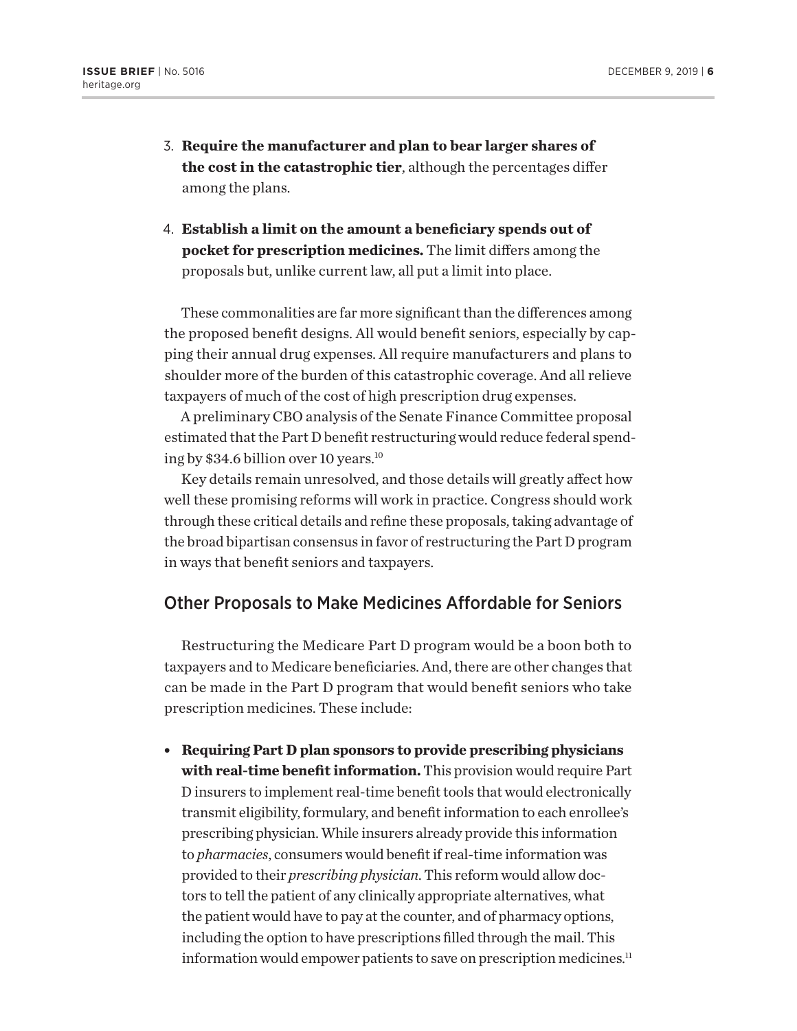- 3. **Require the manufacturer and plan to bear larger shares of the cost in the catastrophic tier**, although the percentages differ among the plans.
- 4. **Establish a limit on the amount a beneficiary spends out of pocket for prescription medicines.** The limit differs among the proposals but, unlike current law, all put a limit into place.

These commonalities are far more significant than the differences among the proposed benefit designs. All would benefit seniors, especially by capping their annual drug expenses. All require manufacturers and plans to shoulder more of the burden of this catastrophic coverage. And all relieve taxpayers of much of the cost of high prescription drug expenses.

A preliminary CBO analysis of the Senate Finance Committee proposal estimated that the Part D benefit restructuring would reduce federal spending by \$34.6 billion over 10 years.<sup>10</sup>

Key details remain unresolved, and those details will greatly affect how well these promising reforms will work in practice. Congress should work through these critical details and refine these proposals, taking advantage of the broad bipartisan consensus in favor of restructuring the Part D program in ways that benefit seniors and taxpayers.

# Other Proposals to Make Medicines Affordable for Seniors

Restructuring the Medicare Part D program would be a boon both to taxpayers and to Medicare beneficiaries. And, there are other changes that can be made in the Part D program that would benefit seniors who take prescription medicines. These include:

<sup>l</sup> **Requiring Part D plan sponsors to provide prescribing physicians with real-time benefit information.** This provision would require Part D insurers to implement real-time benefit tools that would electronically transmit eligibility, formulary, and benefit information to each enrollee's prescribing physician. While insurers already provide this information to *pharmacies*, consumers would benefit if real-time information was provided to their *prescribing physician*. This reform would allow doctors to tell the patient of any clinically appropriate alternatives, what the patient would have to pay at the counter, and of pharmacy options, including the option to have prescriptions filled through the mail. This information would empower patients to save on prescription medicines.<sup>11</sup>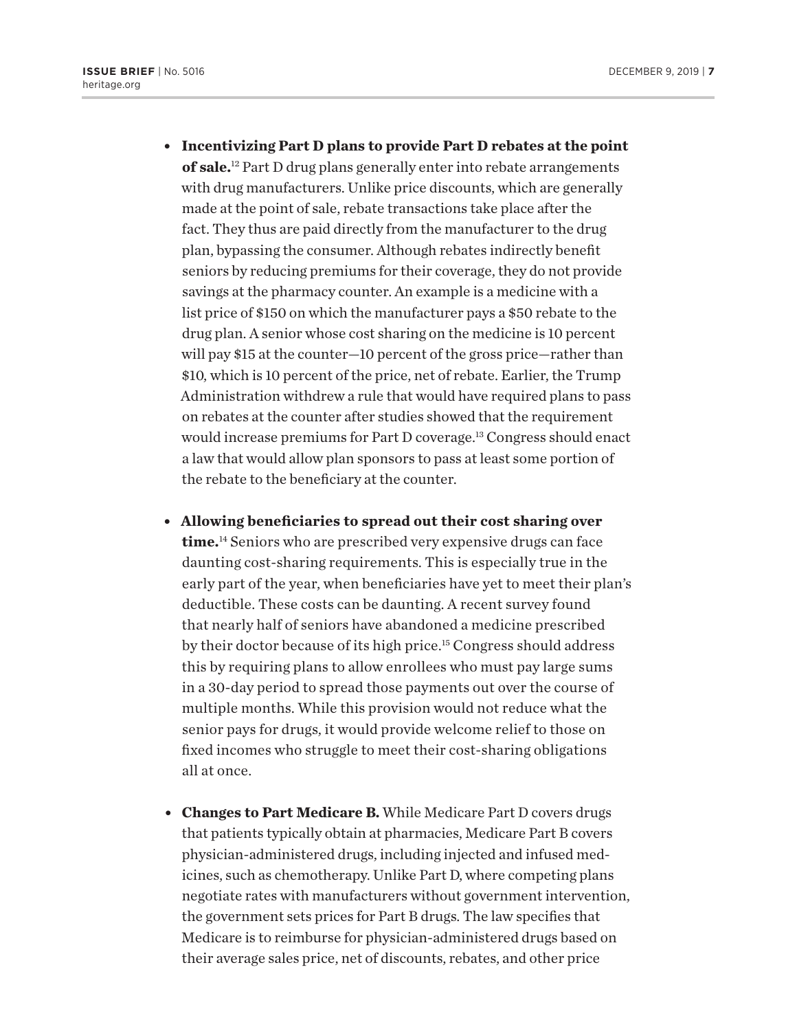- <sup>l</sup> **Incentivizing Part D plans to provide Part D rebates at the point of sale.**12 Part D drug plans generally enter into rebate arrangements with drug manufacturers. Unlike price discounts, which are generally made at the point of sale, rebate transactions take place after the fact. They thus are paid directly from the manufacturer to the drug plan, bypassing the consumer. Although rebates indirectly benefit seniors by reducing premiums for their coverage, they do not provide savings at the pharmacy counter. An example is a medicine with a list price of \$150 on which the manufacturer pays a \$50 rebate to the drug plan. A senior whose cost sharing on the medicine is 10 percent will pay \$15 at the counter—10 percent of the gross price—rather than \$10, which is 10 percent of the price, net of rebate. Earlier, the Trump Administration withdrew a rule that would have required plans to pass on rebates at the counter after studies showed that the requirement would increase premiums for Part D coverage.<sup>13</sup> Congress should enact a law that would allow plan sponsors to pass at least some portion of the rebate to the beneficiary at the counter.
- <sup>l</sup> **Allowing beneficiaries to spread out their cost sharing over time.**14 Seniors who are prescribed very expensive drugs can face daunting cost-sharing requirements. This is especially true in the early part of the year, when beneficiaries have yet to meet their plan's deductible. These costs can be daunting. A recent survey found that nearly half of seniors have abandoned a medicine prescribed by their doctor because of its high price.15 Congress should address this by requiring plans to allow enrollees who must pay large sums in a 30-day period to spread those payments out over the course of multiple months. While this provision would not reduce what the senior pays for drugs, it would provide welcome relief to those on fixed incomes who struggle to meet their cost-sharing obligations all at once.
- **Changes to Part Medicare B.** While Medicare Part D covers drugs that patients typically obtain at pharmacies, Medicare Part B covers physician-administered drugs, including injected and infused medicines, such as chemotherapy. Unlike Part D, where competing plans negotiate rates with manufacturers without government intervention, the government sets prices for Part B drugs. The law specifies that Medicare is to reimburse for physician-administered drugs based on their average sales price, net of discounts, rebates, and other price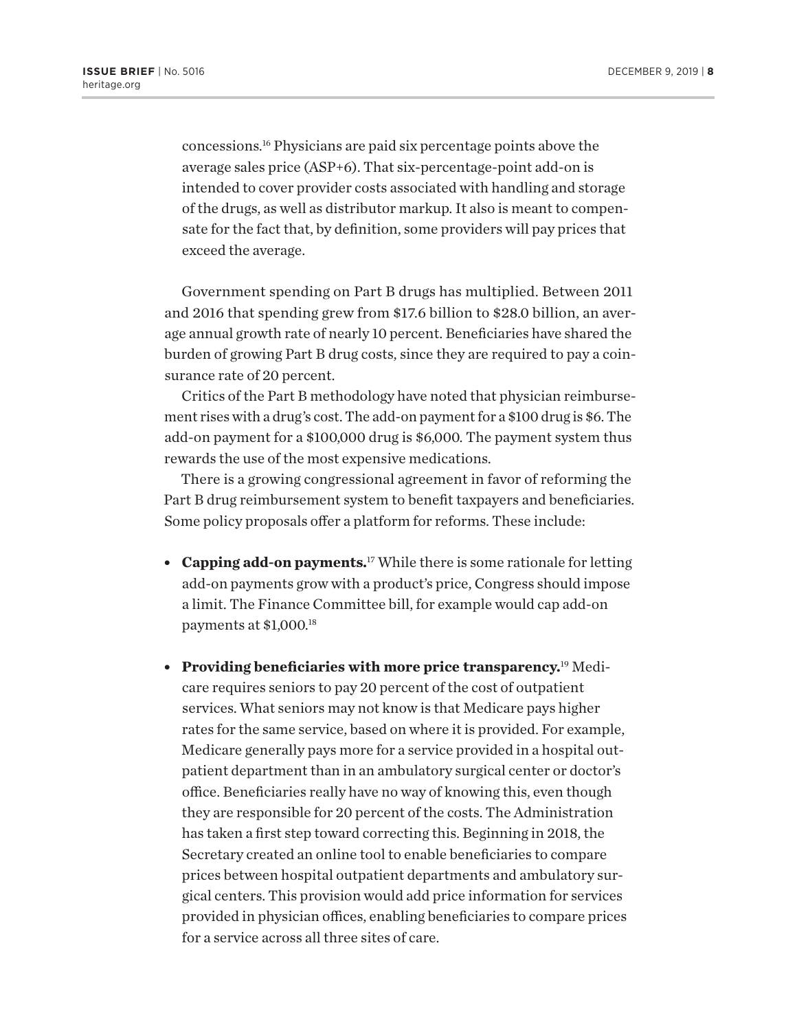concessions.16 Physicians are paid six percentage points above the average sales price (ASP+6). That six-percentage-point add-on is intended to cover provider costs associated with handling and storage of the drugs, as well as distributor markup. It also is meant to compensate for the fact that, by definition, some providers will pay prices that exceed the average.

Government spending on Part B drugs has multiplied. Between 2011 and 2016 that spending grew from \$17.6 billion to \$28.0 billion, an average annual growth rate of nearly 10 percent. Beneficiaries have shared the burden of growing Part B drug costs, since they are required to pay a coinsurance rate of 20 percent.

Critics of the Part B methodology have noted that physician reimbursement rises with a drug's cost. The add-on payment for a \$100 drug is \$6. The add-on payment for a \$100,000 drug is \$6,000. The payment system thus rewards the use of the most expensive medications.

There is a growing congressional agreement in favor of reforming the Part B drug reimbursement system to benefit taxpayers and beneficiaries. Some policy proposals offer a platform for reforms. These include:

- **Capping add-on payments.**<sup>17</sup> While there is some rationale for letting add-on payments grow with a product's price, Congress should impose a limit. The Finance Committee bill, for example would cap add-on payments at \$1,000.18
- <sup>l</sup> **Providing beneficiaries with more price transparency.**19 Medicare requires seniors to pay 20 percent of the cost of outpatient services. What seniors may not know is that Medicare pays higher rates for the same service, based on where it is provided. For example, Medicare generally pays more for a service provided in a hospital outpatient department than in an ambulatory surgical center or doctor's office. Beneficiaries really have no way of knowing this, even though they are responsible for 20 percent of the costs. The Administration has taken a first step toward correcting this. Beginning in 2018, the Secretary created an online tool to enable beneficiaries to compare prices between hospital outpatient departments and ambulatory surgical centers. This provision would add price information for services provided in physician offices, enabling beneficiaries to compare prices for a service across all three sites of care.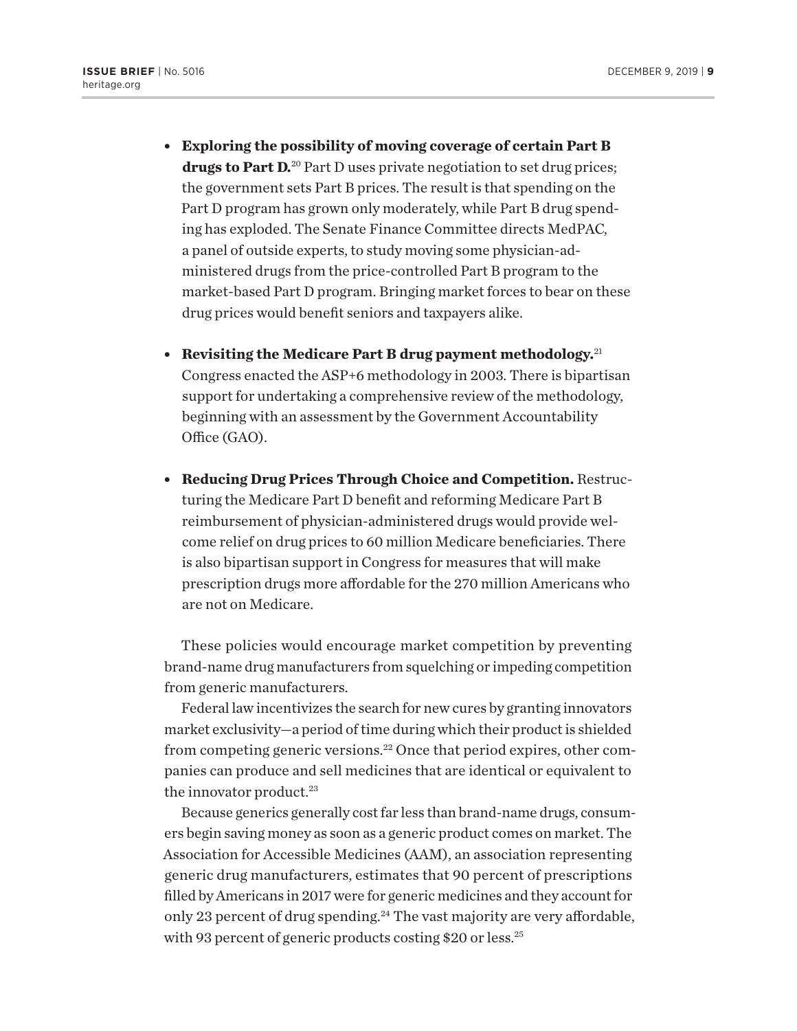- <sup>l</sup> **Exploring the possibility of moving coverage of certain Part B drugs to Part D.**20 Part D uses private negotiation to set drug prices; the government sets Part B prices. The result is that spending on the Part D program has grown only moderately, while Part B drug spending has exploded. The Senate Finance Committee directs MedPAC, a panel of outside experts, to study moving some physician-administered drugs from the price-controlled Part B program to the market-based Part D program. Bringing market forces to bear on these drug prices would benefit seniors and taxpayers alike.
- **Revisiting the Medicare Part B drug payment methodology.**<sup>21</sup> Congress enacted the ASP+6 methodology in 2003. There is bipartisan support for undertaking a comprehensive review of the methodology, beginning with an assessment by the Government Accountability Office (GAO).
- **Reducing Drug Prices Through Choice and Competition.** Restructuring the Medicare Part D benefit and reforming Medicare Part B reimbursement of physician-administered drugs would provide welcome relief on drug prices to 60 million Medicare beneficiaries. There is also bipartisan support in Congress for measures that will make prescription drugs more affordable for the 270 million Americans who are not on Medicare.

These policies would encourage market competition by preventing brand-name drug manufacturers from squelching or impeding competition from generic manufacturers.

Federal law incentivizes the search for new cures by granting innovators market exclusivity—a period of time during which their product is shielded from competing generic versions.<sup>22</sup> Once that period expires, other companies can produce and sell medicines that are identical or equivalent to the innovator product.<sup>23</sup>

Because generics generally cost far less than brand-name drugs, consumers begin saving money as soon as a generic product comes on market. The Association for Accessible Medicines (AAM), an association representing generic drug manufacturers, estimates that 90 percent of prescriptions filled by Americans in 2017 were for generic medicines and they account for only 23 percent of drug spending.<sup>24</sup> The vast majority are very affordable, with 93 percent of generic products costing \$20 or less.<sup>25</sup>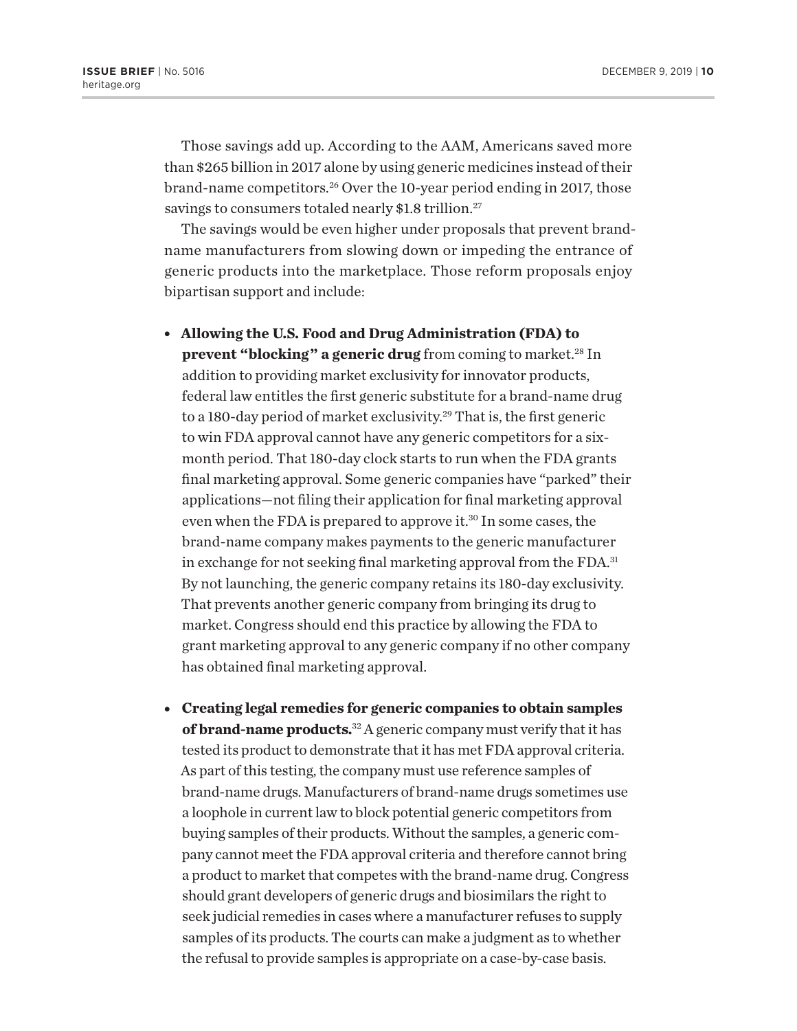Those savings add up. According to the AAM, Americans saved more than \$265 billion in 2017 alone by using generic medicines instead of their brand-name competitors.26 Over the 10-year period ending in 2017, those savings to consumers totaled nearly \$1.8 trillion.<sup>27</sup>

The savings would be even higher under proposals that prevent brandname manufacturers from slowing down or impeding the entrance of generic products into the marketplace. Those reform proposals enjoy bipartisan support and include:

- <sup>l</sup> **Allowing the U.S. Food and Drug Administration (FDA) to prevent "blocking" a generic drug** from coming to market.<sup>28</sup> In addition to providing market exclusivity for innovator products, federal law entitles the first generic substitute for a brand-name drug to a 180-day period of market exclusivity.29 That is, the first generic to win FDA approval cannot have any generic competitors for a sixmonth period. That 180-day clock starts to run when the FDA grants final marketing approval. Some generic companies have "parked" their applications—not filing their application for final marketing approval even when the FDA is prepared to approve it.<sup>30</sup> In some cases, the brand-name company makes payments to the generic manufacturer in exchange for not seeking final marketing approval from the FDA.<sup>31</sup> By not launching, the generic company retains its 180-day exclusivity. That prevents another generic company from bringing its drug to market. Congress should end this practice by allowing the FDA to grant marketing approval to any generic company if no other company has obtained final marketing approval.
- <sup>l</sup> **Creating legal remedies for generic companies to obtain samples of brand-name products.**32 A generic company must verify that it has tested its product to demonstrate that it has met FDA approval criteria. As part of this testing, the company must use reference samples of brand-name drugs. Manufacturers of brand-name drugs sometimes use a loophole in current law to block potential generic competitors from buying samples of their products. Without the samples, a generic company cannot meet the FDA approval criteria and therefore cannot bring a product to market that competes with the brand-name drug. Congress should grant developers of generic drugs and biosimilars the right to seek judicial remedies in cases where a manufacturer refuses to supply samples of its products. The courts can make a judgment as to whether the refusal to provide samples is appropriate on a case-by-case basis.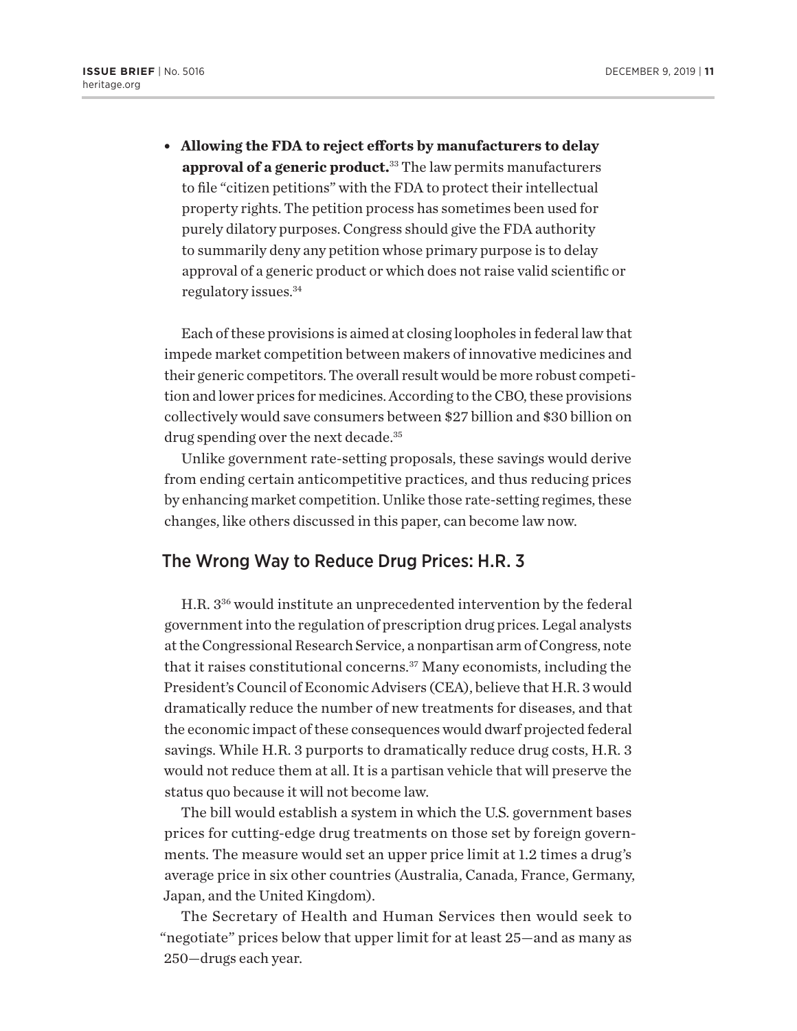<sup>l</sup> **Allowing the FDA to reject efforts by manufacturers to delay approval of a generic product.**33 The law permits manufacturers to file "citizen petitions" with the FDA to protect their intellectual property rights. The petition process has sometimes been used for purely dilatory purposes. Congress should give the FDA authority to summarily deny any petition whose primary purpose is to delay approval of a generic product or which does not raise valid scientific or regulatory issues.34

Each of these provisions is aimed at closing loopholes in federal law that impede market competition between makers of innovative medicines and their generic competitors. The overall result would be more robust competition and lower prices for medicines. According to the CBO, these provisions collectively would save consumers between \$27 billion and \$30 billion on drug spending over the next decade.<sup>35</sup>

Unlike government rate-setting proposals, these savings would derive from ending certain anticompetitive practices, and thus reducing prices by enhancing market competition. Unlike those rate-setting regimes, these changes, like others discussed in this paper, can become law now*.*

## The Wrong Way to Reduce Drug Prices: H.R. 3

H.R. 336 would institute an unprecedented intervention by the federal government into the regulation of prescription drug prices. Legal analysts at the Congressional Research Service, a nonpartisan arm of Congress, note that it raises constitutional concerns.37 Many economists, including the President's Council of Economic Advisers (CEA), believe that H.R. 3 would dramatically reduce the number of new treatments for diseases, and that the economic impact of these consequences would dwarf projected federal savings. While H.R. 3 purports to dramatically reduce drug costs, H.R. 3 would not reduce them at all. It is a partisan vehicle that will preserve the status quo because it will not become law.

The bill would establish a system in which the U.S. government bases prices for cutting-edge drug treatments on those set by foreign governments. The measure would set an upper price limit at 1.2 times a drug's average price in six other countries (Australia, Canada, France, Germany, Japan, and the United Kingdom).

The Secretary of Health and Human Services then would seek to "negotiate" prices below that upper limit for at least 25—and as many as 250—drugs each year.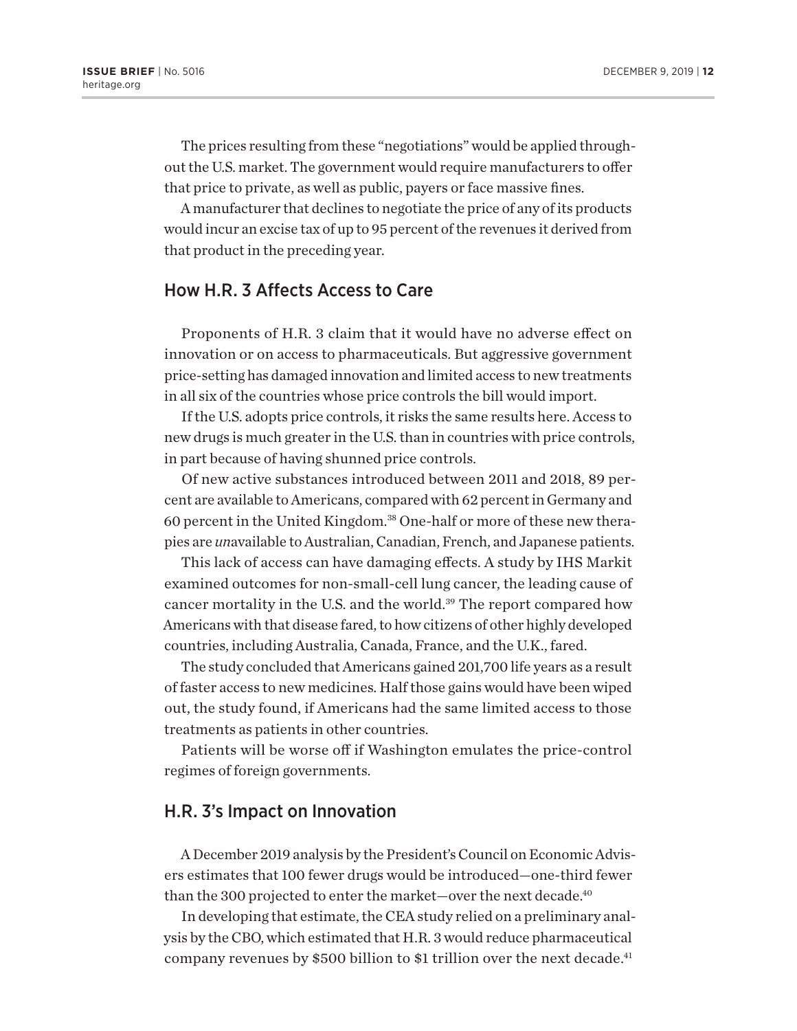The prices resulting from these "negotiations" would be applied throughout the U.S. market. The government would require manufacturers to offer that price to private, as well as public, payers or face massive fines.

A manufacturer that declines to negotiate the price of any of its products would incur an excise tax of up to 95 percent of the revenues it derived from that product in the preceding year.

# How H.R. 3 Affects Access to Care

Proponents of H.R. 3 claim that it would have no adverse effect on innovation or on access to pharmaceuticals. But aggressive government price-setting has damaged innovation and limited access to new treatments in all six of the countries whose price controls the bill would import.

If the U.S. adopts price controls, it risks the same results here. Access to new drugs is much greater in the U.S. than in countries with price controls, in part because of having shunned price controls.

Of new active substances introduced between 2011 and 2018, 89 percent are available to Americans, compared with 62 percent in Germany and 60 percent in the United Kingdom.38 One-half or more of these new therapies are *un*available to Australian, Canadian, French, and Japanese patients.

This lack of access can have damaging effects. A study by IHS Markit examined outcomes for non-small-cell lung cancer, the leading cause of cancer mortality in the U.S. and the world.<sup>39</sup> The report compared how Americans with that disease fared, to how citizens of other highly developed countries, including Australia, Canada, France, and the U.K., fared.

The study concluded that Americans gained 201,700 life years as a result of faster access to new medicines. Half those gains would have been wiped out, the study found, if Americans had the same limited access to those treatments as patients in other countries.

Patients will be worse off if Washington emulates the price-control regimes of foreign governments.

### H.R. 3's Impact on Innovation

A December 2019 analysis by the President's Council on Economic Advisers estimates that 100 fewer drugs would be introduced—one-third fewer than the 300 projected to enter the market-over the next decade.<sup>40</sup>

In developing that estimate, the CEA study relied on a preliminary analysis by the CBO, which estimated that H.R. 3 would reduce pharmaceutical company revenues by \$500 billion to \$1 trillion over the next decade.<sup>41</sup>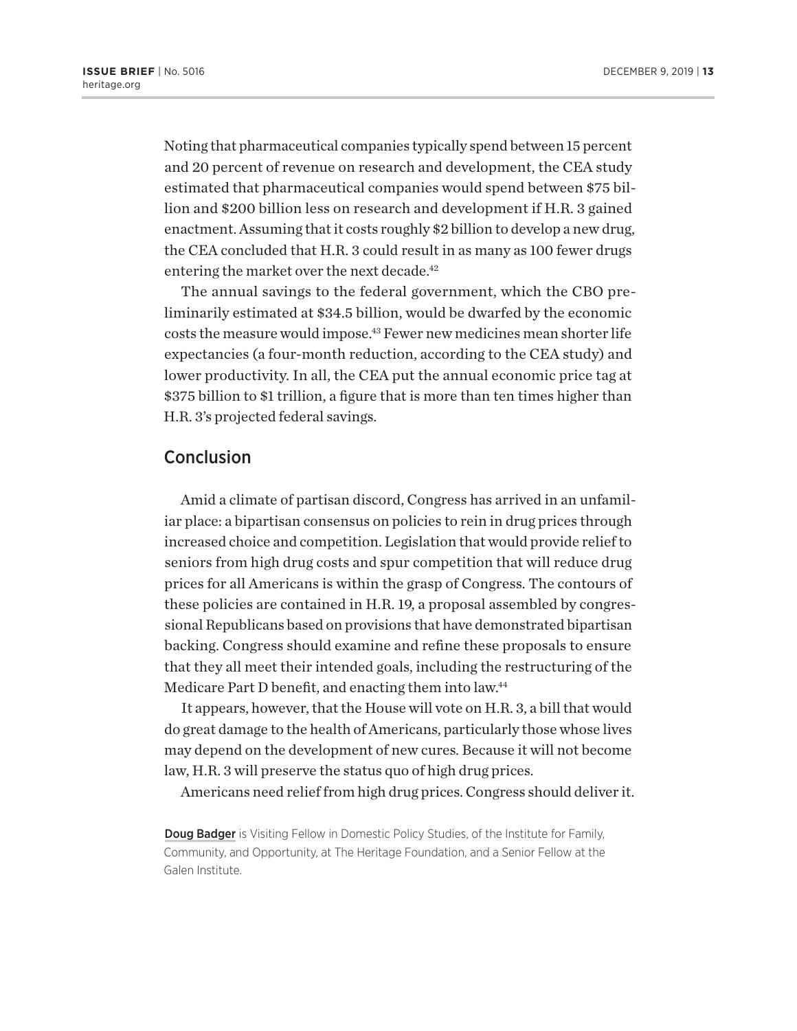Noting that pharmaceutical companies typically spend between 15 percent and 20 percent of revenue on research and development, the CEA study estimated that pharmaceutical companies would spend between \$75 billion and \$200 billion less on research and development if H.R. 3 gained enactment. Assuming that it costs roughly \$2 billion to develop a new drug, the CEA concluded that H.R. 3 could result in as many as 100 fewer drugs entering the market over the next decade.<sup>42</sup>

The annual savings to the federal government, which the CBO preliminarily estimated at \$34.5 billion, would be dwarfed by the economic costs the measure would impose.43 Fewer new medicines mean shorter life expectancies (a four-month reduction, according to the CEA study) and lower productivity. In all, the CEA put the annual economic price tag at \$375 billion to \$1 trillion, a figure that is more than ten times higher than H.R. 3's projected federal savings.

#### Conclusion

Amid a climate of partisan discord, Congress has arrived in an unfamiliar place: a bipartisan consensus on policies to rein in drug prices through increased choice and competition. Legislation that would provide relief to seniors from high drug costs and spur competition that will reduce drug prices for all Americans is within the grasp of Congress. The contours of these policies are contained in H.R. 19, a proposal assembled by congressional Republicans based on provisions that have demonstrated bipartisan backing. Congress should examine and refine these proposals to ensure that they all meet their intended goals, including the restructuring of the Medicare Part D benefit, and enacting them into law.<sup>44</sup>

It appears, however, that the House will vote on H.R. 3, a bill that would do great damage to the health of Americans, particularly those whose lives may depend on the development of new cures. Because it will not become law, H.R. 3 will preserve the status quo of high drug prices.

Americans need relief from high drug prices. Congress should deliver it.

**Doug Badger** is Visiting Fellow in Domestic Policy Studies, of the Institute for Family, Community, and Opportunity, at The Heritage Foundation, and a Senior Fellow at the Galen Institute.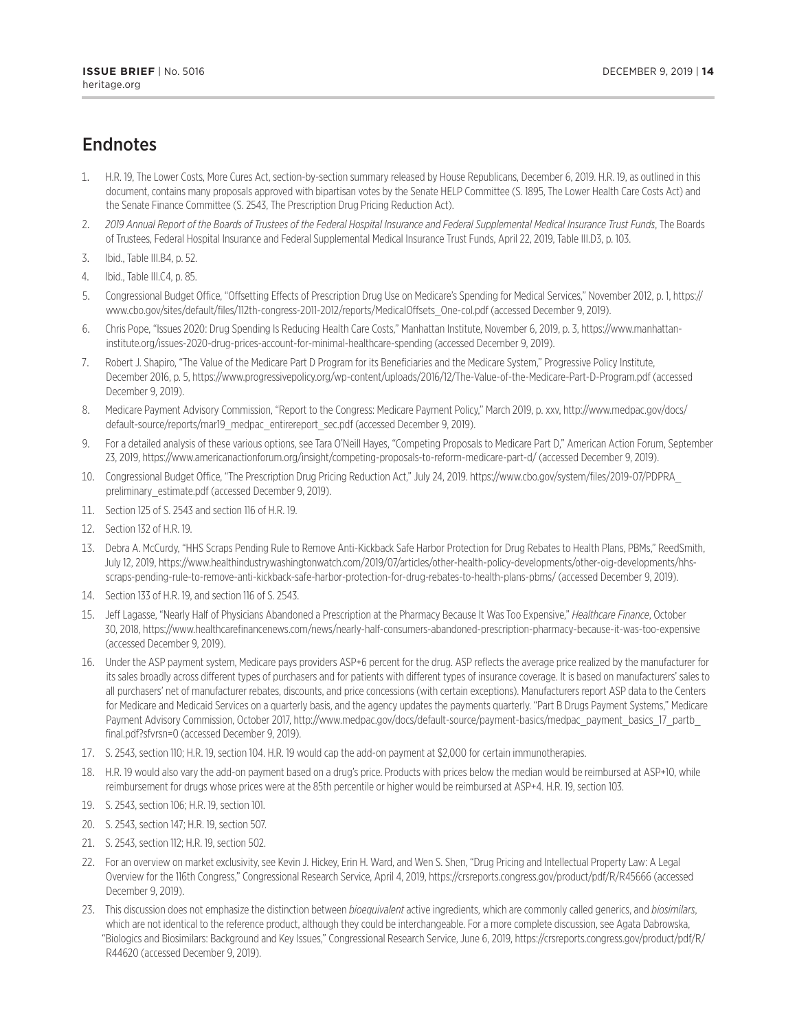# **Endnotes**

- 1. H.R. 19, The Lower Costs, More Cures Act, section-by-section summary released by House Republicans, December 6, 2019. H.R. 19, as outlined in this document, contains many proposals approved with bipartisan votes by the Senate HELP Committee (S. 1895, The Lower Health Care Costs Act) and the Senate Finance Committee (S. 2543, The Prescription Drug Pricing Reduction Act).
- 2. *2019 Annual Report of the Boards of Trustees of the Federal Hospital Insurance and Federal Supplemental Medical Insurance Trust Funds*, The Boards of Trustees, Federal Hospital Insurance and Federal Supplemental Medical Insurance Trust Funds, April 22, 2019, Table III.D3, p. 103.
- 3. Ibid., Table III.B4, p. 52.
- 4. Ibid., Table III.C4, p. 85.
- 5. Congressional Budget Office, "Offsetting Effects of Prescription Drug Use on Medicare's Spending for Medical Services," November 2012, p. 1, https:// www.cbo.gov/sites/default/files/112th-congress-2011-2012/reports/MedicalOffsets\_One-col.pdf (accessed December 9, 2019).
- 6. Chris Pope, "Issues 2020: Drug Spending Is Reducing Health Care Costs," Manhattan Institute, November 6, 2019, p. 3, https://www.manhattaninstitute.org/issues-2020-drug-prices-account-for-minimal-healthcare-spending (accessed December 9, 2019).
- 7. Robert J. Shapiro, "The Value of the Medicare Part D Program for its Beneficiaries and the Medicare System," Progressive Policy Institute, December 2016, p. 5, https://www.progressivepolicy.org/wp-content/uploads/2016/12/The-Value-of-the-Medicare-Part-D-Program.pdf (accessed December 9, 2019).
- 8. Medicare Payment Advisory Commission, "Report to the Congress: Medicare Payment Policy," March 2019, p. xxv, http://www.medpac.gov/docs/ default-source/reports/mar19\_medpac\_entirereport\_sec.pdf (accessed December 9, 2019).
- 9. For a detailed analysis of these various options, see Tara O'Neill Hayes, "Competing Proposals to Medicare Part D," American Action Forum, September 23, 2019, https://www.americanactionforum.org/insight/competing-proposals-to-reform-medicare-part-d/ (accessed December 9, 2019).
- 10. Congressional Budget Office, "The Prescription Drug Pricing Reduction Act," July 24, 2019. https://www.cbo.gov/system/files/2019-07/PDPRA\_ preliminary\_estimate.pdf (accessed December 9, 2019).
- 11. Section 125 of S. 2543 and section 116 of H.R. 19.
- 12. Section 132 of H.R. 19.
- 13. Debra A. McCurdy, "HHS Scraps Pending Rule to Remove Anti-Kickback Safe Harbor Protection for Drug Rebates to Health Plans, PBMs," ReedSmith, July 12, 2019, https://www.healthindustrywashingtonwatch.com/2019/07/articles/other-health-policy-developments/other-oig-developments/hhsscraps-pending-rule-to-remove-anti-kickback-safe-harbor-protection-for-drug-rebates-to-health-plans-pbms/ (accessed December 9, 2019).
- 14. Section 133 of H.R. 19, and section 116 of S. 2543.
- 15. Jeff Lagasse, "Nearly Half of Physicians Abandoned a Prescription at the Pharmacy Because It Was Too Expensive," *Healthcare Finance*, October 30, 2018, https://www.healthcarefinancenews.com/news/nearly-half-consumers-abandoned-prescription-pharmacy-because-it-was-too-expensive (accessed December 9, 2019).
- 16. Under the ASP payment system, Medicare pays providers ASP+6 percent for the drug. ASP reflects the average price realized by the manufacturer for its sales broadly across different types of purchasers and for patients with different types of insurance coverage. It is based on manufacturers' sales to all purchasers' net of manufacturer rebates, discounts, and price concessions (with certain exceptions). Manufacturers report ASP data to the Centers for Medicare and Medicaid Services on a quarterly basis, and the agency updates the payments quarterly. "Part B Drugs Payment Systems," Medicare Payment Advisory Commission, October 2017, http://www.medpac.gov/docs/default-source/payment-basics/medpac\_payment\_basics\_17\_partb final.pdf?sfvrsn=0 (accessed December 9, 2019).
- 17. S. 2543, section 110; H.R. 19, section 104. H.R. 19 would cap the add-on payment at \$2,000 for certain immunotherapies.
- 18. H.R. 19 would also vary the add-on payment based on a drug's price. Products with prices below the median would be reimbursed at ASP+10, while reimbursement for drugs whose prices were at the 85th percentile or higher would be reimbursed at ASP+4. H.R. 19, section 103.
- 19. S. 2543, section 106; H.R. 19, section 101.
- 20. S. 2543, section 147; H.R. 19, section 507.
- 21. S. 2543, section 112; H.R. 19, section 502.
- 22. For an overview on market exclusivity, see Kevin J. Hickey, Erin H. Ward, and Wen S. Shen, "Drug Pricing and Intellectual Property Law: A Legal Overview for the 116th Congress," Congressional Research Service, April 4, 2019, https://crsreports.congress.gov/product/pdf/R/R45666 (accessed December 9, 2019).
- 23. This discussion does not emphasize the distinction between *bioequivalent* active ingredients, which are commonly called generics, and *biosimilars*, which are not identical to the reference product, although they could be interchangeable. For a more complete discussion, see Agata Dabrowska, "Biologics and Biosimilars: Background and Key Issues," Congressional Research Service, June 6, 2019, https://crsreports.congress.gov/product/pdf/R/ R44620 (accessed December 9, 2019).